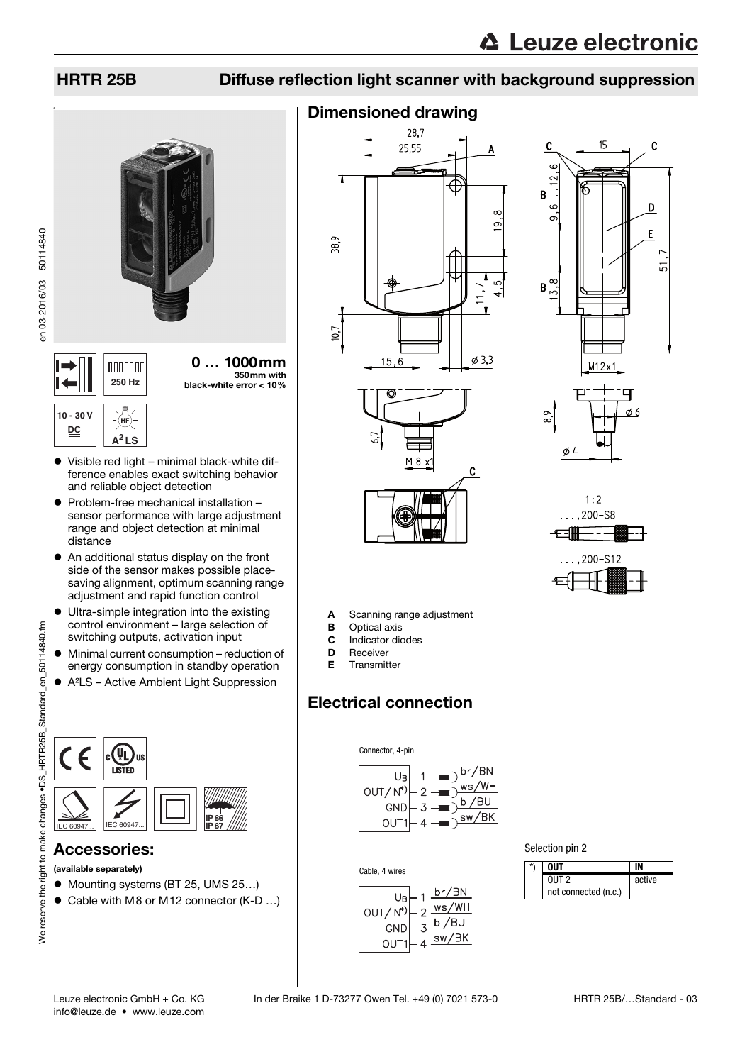## HRTR 25B Diffuse reflection light scanner with background suppression



350mm with **250 Hz** black-white error < 10%

#### **10 - 30 V** (hf **DC A<sup>2</sup> LS**

- Visible red light minimal black-white difference enables exact switching behavior and reliable object detection
- Problem-free mechanical installation sensor performance with large adjustment range and object detection at minimal distance
- An additional status display on the front side of the sensor makes possible placesaving alignment, optimum scanning range adjustment and rapid function control
- Ultra-simple integration into the existing control environment – large selection of switching outputs, activation input
- Minimal current consumption reduction of energy consumption in standby operation
- A²LS Active Ambient Light Suppression



## Accessories:

- (available separately)
- Mounting systems (BT 25, UMS 25...)
- Cable with M8 or M12 connector (K-D ...)

## Dimensioned drawing



M 8 x

C





A Scanning range adjustment

- **B** Optical axis
- C Indicator diodes
- D Receiver
- E Transmitter

## Electrical connection





Cable, 4 wires



| Selection pin 2 |  |
|-----------------|--|
|-----------------|--|

| $\star$ | NIIT                 |        |
|---------|----------------------|--------|
|         | $0UT$ 2              | active |
|         | not connected (n.c.) |        |

en 03-2016/03 50114840

en 03-2016/03 50114840

info@leuze.de • www.leuze.com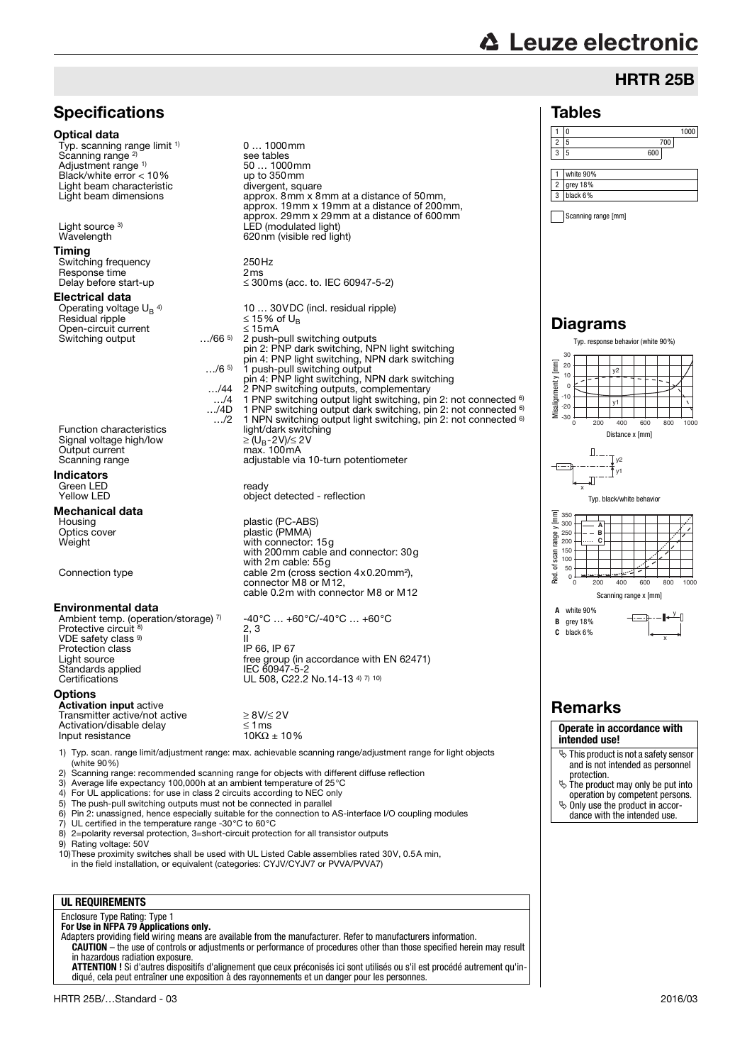# **△ Leuze electronic**

## HRTR 25B

## Tables



Scanning range [mm]

## Diagrams



## Remarks

#### **Operate in accordance with intended use!**

- This product is not a safety sensor and is not intended as personnel
- protection. The product may only be put into operation by competent persons.
- $\ddot{\phi}$  Only use the product in accor-
- dance with the intended use.



0 … 1000mm

see tables<br>50 ... 1000mm<br>up to 350mm

1) Typ. scan. range limit/adjustment range: max. achievable scanning range/adjustment range for light objects (white 90%)

- 2) Scanning range: recommended scanning range for objects with different diffuse reflection<br>3) Average life expectancy 100,000h at an ambient temperature of 25 °C
- 3) Average life expectancy 100,000h at an ambient temperature of 25°C<br>4) For UL applications: for use in class 2 circuits according to NEC only
- For UL applications: for use in class 2 circuits according to NEC only
- 5) The push-pull switching outputs must not be connected in parallel 6) Pin 2: unassigned, hence especially suitable for the connection to AS-interface I/O coupling modules
- 
- 7) UL certified in the temperature range -30°C to 60°C
- 8) 2=polarity reversal protection, 3=short-circuit protection for all transistor outputs
- Rating voltage: 50V

**Specifications** 

Typ. scanning range limit <sup>1)</sup>

Optical data

Scanning range<sup>2)</sup>

Adjustment range 1)

10)These proximity switches shall be used with UL Listed Cable assemblies rated 30V, 0.5A min, in the field installation, or equivalent (categories: CYJV/CYJV7 or PVVA/PVVA7)

### **UL REQUIREMENTS**

## Enclosure Type Rating: Type 1 **For Use in NFPA 79 Applications only.**

Adapters providing field wiring means are available from the manufacturer. Refer to manufacturers information. **CAUTION** – the use of controls or adjustments or performance of procedures other than those specified herein may result

in hazardous radiation exposure. **ATTENTION !** Si d'autres dispositifs d'alignement que ceux préconisés ici sont utilisés ou s'il est procédé autrement qu'in-

diqué, cela peut entraîner une exposition à des rayonnements et un danger pour les personnes.

# free group (in accordance with EN 62471)<br>IEC 60947-5-2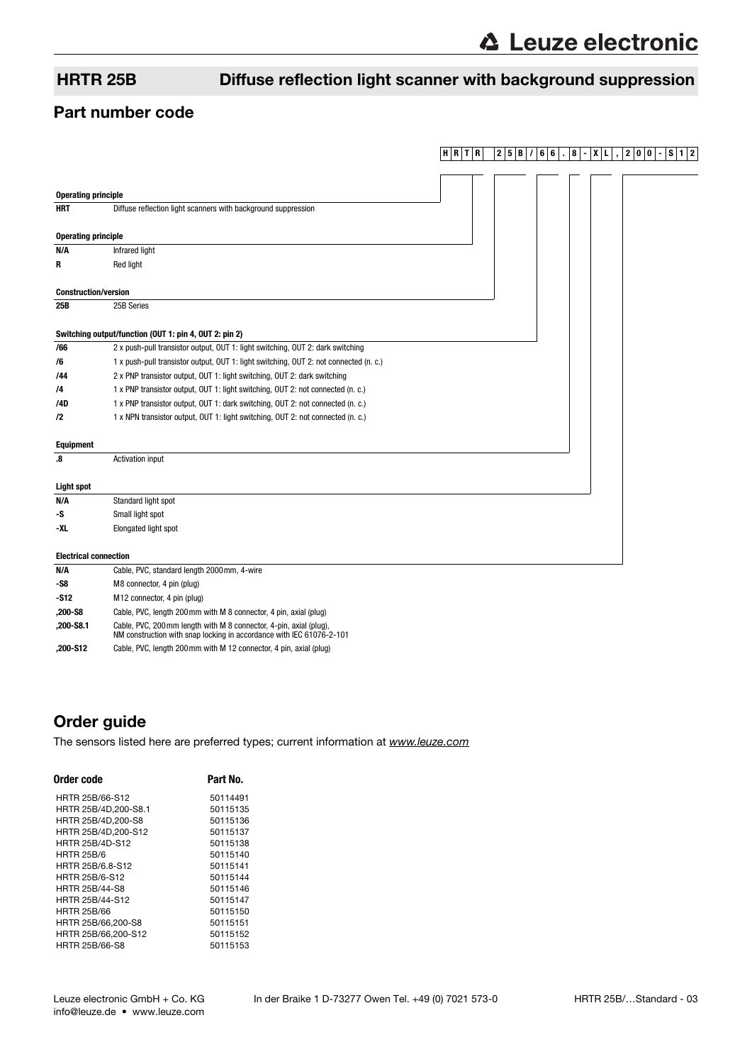## HRTR 25B Diffuse reflection light scanner with background suppression

## Part number code

|                              |                                                                                                                                            | $H$ R T R | 2 5<br>В | 6 6<br>8 | 0<br>$\bf{0}$<br>2 | S<br>$\overline{2}$<br>1 <sup>1</sup> |
|------------------------------|--------------------------------------------------------------------------------------------------------------------------------------------|-----------|----------|----------|--------------------|---------------------------------------|
|                              |                                                                                                                                            |           |          |          |                    |                                       |
| <b>Operating principle</b>   |                                                                                                                                            |           |          |          |                    |                                       |
| <b>HRT</b>                   | Diffuse reflection light scanners with background suppression                                                                              |           |          |          |                    |                                       |
|                              |                                                                                                                                            |           |          |          |                    |                                       |
| <b>Operating principle</b>   |                                                                                                                                            |           |          |          |                    |                                       |
| N/A                          | Infrared light                                                                                                                             |           |          |          |                    |                                       |
| R                            | <b>Red light</b>                                                                                                                           |           |          |          |                    |                                       |
|                              |                                                                                                                                            |           |          |          |                    |                                       |
| <b>Construction/version</b>  |                                                                                                                                            |           |          |          |                    |                                       |
| 25B                          | 25B Series                                                                                                                                 |           |          |          |                    |                                       |
|                              | Switching output/function (OUT 1: pin 4, OUT 2: pin 2)                                                                                     |           |          |          |                    |                                       |
| /66                          | 2 x push-pull transistor output, OUT 1: light switching, OUT 2: dark switching                                                             |           |          |          |                    |                                       |
| /6                           | 1 x push-pull transistor output, OUT 1: light switching, OUT 2: not connected (n. c.)                                                      |           |          |          |                    |                                       |
| /44                          | 2 x PNP transistor output, OUT 1: light switching, OUT 2: dark switching                                                                   |           |          |          |                    |                                       |
| /4                           | 1 x PNP transistor output, OUT 1: light switching, OUT 2: not connected (n. c.)                                                            |           |          |          |                    |                                       |
| /4D                          | 1 x PNP transistor output, OUT 1: dark switching, OUT 2: not connected (n. c.)                                                             |           |          |          |                    |                                       |
| $\sqrt{2}$                   | 1 x NPN transistor output, OUT 1: light switching, OUT 2: not connected (n. c.)                                                            |           |          |          |                    |                                       |
|                              |                                                                                                                                            |           |          |          |                    |                                       |
| <b>Equipment</b>             |                                                                                                                                            |           |          |          |                    |                                       |
| .8                           | <b>Activation input</b>                                                                                                                    |           |          |          |                    |                                       |
|                              |                                                                                                                                            |           |          |          |                    |                                       |
| <b>Light spot</b>            |                                                                                                                                            |           |          |          |                    |                                       |
| N/A                          | Standard light spot                                                                                                                        |           |          |          |                    |                                       |
| -S                           | Small light spot                                                                                                                           |           |          |          |                    |                                       |
| -XL                          | Elongated light spot                                                                                                                       |           |          |          |                    |                                       |
| <b>Electrical connection</b> |                                                                                                                                            |           |          |          |                    |                                       |
| N/A                          | Cable, PVC, standard length 2000mm, 4-wire                                                                                                 |           |          |          |                    |                                       |
| -S8                          | M8 connector, 4 pin (plug)                                                                                                                 |           |          |          |                    |                                       |
| $-S12$                       | M12 connector, 4 pin (plug)                                                                                                                |           |          |          |                    |                                       |
| ,200-S8                      | Cable, PVC, length 200mm with M 8 connector, 4 pin, axial (plug)                                                                           |           |          |          |                    |                                       |
| $,200 - S8.1$                | Cable, PVC, 200 mm length with M 8 connector, 4-pin, axial (plug),<br>NM construction with snap locking in accordance with IEC 61076-2-101 |           |          |          |                    |                                       |

**,200-S12** Cable, PVC, length 200mm with M 12 connector, 4 pin, axial (plug)

## Order guide

[The sensors listed here are preferred types; current information at](http://www.leuze.com) www.leuze.com

| Order code             | Part No. |
|------------------------|----------|
| HRTR 25B/66-S12        | 50114491 |
| HRTR 25B/4D.200-S8.1   | 50115135 |
| HRTR 25B/4D.200-S8     | 50115136 |
| HRTR 25B/4D,200-S12    | 50115137 |
| <b>HRTR 25B/4D-S12</b> | 50115138 |
| <b>HRTR 25B/6</b>      | 50115140 |
| HRTR 25B/6.8-S12       | 50115141 |
| HRTR 25B/6-S12         | 50115144 |
| <b>HRTR 25B/44-S8</b>  | 50115146 |
| HRTR 25B/44-S12        | 50115147 |
| <b>HRTR 25B/66</b>     | 50115150 |
| HRTR 25B/66.200-S8     | 50115151 |
| HRTR 25B/66,200-S12    | 50115152 |
| <b>HRTR 25B/66-S8</b>  | 50115153 |